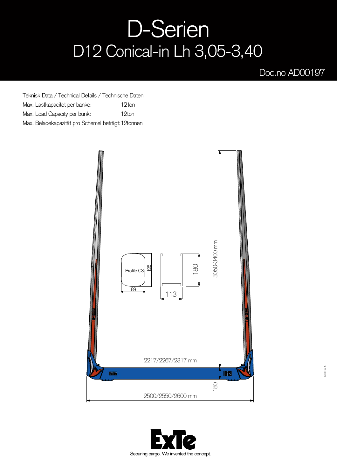## D-Serien D12 Conical-in Lh 3,05-3,40

## Doc.no AD00197

Teknisk Data / Technical Details / Technische Daten Max. Lastkapacitet per banke: Max. Load Capacity per bunk: Max. Beladekapazität pro Schemel beträgt: 12tonnen 12<sub>ton</sub> 12ton



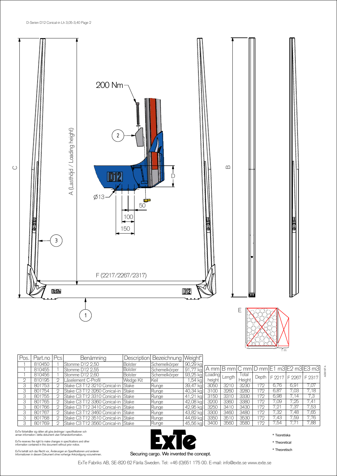

| Pos. | Part.no | Pcs | Benämning                            | <b>Description</b> | Bezeichnung   Weight* |              |         |        |        |       |                   |      |                                                                                                   |
|------|---------|-----|--------------------------------------|--------------------|-----------------------|--------------|---------|--------|--------|-------|-------------------|------|---------------------------------------------------------------------------------------------------|
|      | 810450  |     | Stomme D12 2,50                      | <b>Bolster</b>     | Schemelkörper         | 90,29 kg     |         |        |        |       |                   |      |                                                                                                   |
|      | 810455  |     | Stomme D12 2.55                      | <b>Bolster</b>     | Schemelkörper         | 91.77<br>kal |         |        |        |       |                   |      | $ A \text{ mm} B \text{ mm} C \text{ mm} D \text{ mm} E1 \text{ m}3 E2 \text{ m}3 E3 \text{ m}3 $ |
|      | 810456  |     | Stomme D12 2,60                      | <b>Bolster</b>     | Schemelkörper         | 93,25 kg     | Loading | Length | Total  | Depth | F 2217 F 2267     |      | F 2317                                                                                            |
|      | 810195  |     | Låselement C-Profil                  | Wedge Kit          | Keil                  | .54 ka       | height  |        | Height |       |                   |      |                                                                                                   |
|      | 801753  |     | Stake C3 T12 3210 Conical-in  Stake  |                    | Runge                 | 39.47 kg     | 3050    | 3210   | 3230   | 172   | 6.76              | 6,91 | 7,07                                                                                              |
|      | 801754  |     | lStake C3 T12 3260 Conical-in  Stake |                    | Runge                 | 40,34 kg     | 3100    | 3260   | 3280   | 172   | 6,87              | 7.03 | 7.18                                                                                              |
|      | 801755  |     | Stake C3 T12 3310 Conical-in Stake   |                    | Runge                 | 41,21<br>ka  | 3150    | 3310   | 3330   | 172   | 6.98              | 7.14 | 7,3                                                                                               |
|      | 801765  | C   | Stake C3 T12 3360 Conical-in Stake   |                    | Runge                 | 42,08 kg     | 3200    | 3360   | 3380   | 172   | 7,09              | 7,25 | 7.41                                                                                              |
|      | 801766  |     | Stake C3 T12 3410 Conical-in Stake   |                    | Runge                 | 42.95 kal    | 3250    | 3410   | 3430   | 172   | 7.21              | .37  | 7,53                                                                                              |
|      | 801767  |     | Stake C3 T12 3460 Conical-in Stake   |                    | Runge                 | 43,82 kg     | 3300    | 3460   | 3480   | 172   | $7,\overline{32}$ | .48  | 7,65                                                                                              |
|      | 801768  |     | Stake C3 T12 3510 Conical-in Stake   |                    | Runge                 | 44.69 ka     | 3350    | 3510   | 3530   | 172   | 7.43              | .59  | 7.76                                                                                              |
|      | 801769  |     | Stake C3 T12 3560 Conical-in Stake   |                    | Runge                 | 45,56 kg     | 3400    | 3560   | 3580   | 72    | .54               |      | 7,88                                                                                              |

ExTe förbehåller sig rätten att göra ändringar i specifikationer och<br>annan information i detta dokument utan förhandsinformation.

ExTe reserves the right to make changes in specifications and other information contained in this document without prior notice.

ExTe behält sich das Recht vor, Änderungen an Spezifikationen und anderen<br>Informationen in diesem Dokument ohne vorherige Ankündigung vorzunehmen.



\* Teoretiska

1 <sup>m</sup>

\* Theoretical

\* Theoretisch

ExTe Fabriks AB, SE-820 62 Färila Sweden. Tel: +46 (0)651 175 00. E-mail: info@exte.se www.exte.se

AD00197 A